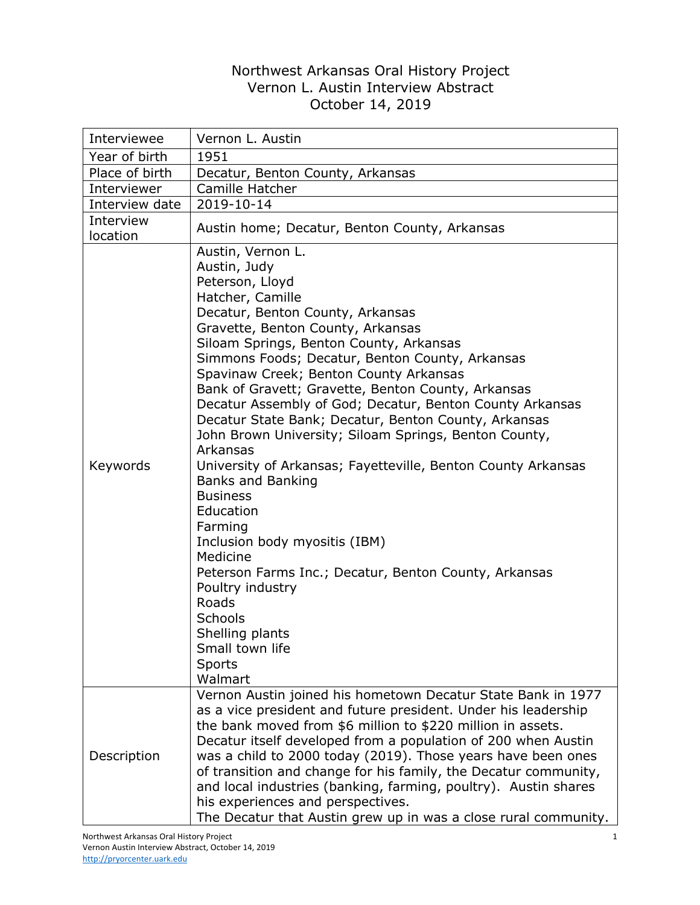## Northwest Arkansas Oral History Project Vernon L. Austin Interview Abstract October 14, 2019

| Interviewee           | Vernon L. Austin                                                                                                                                                                                                                                                                                                                                                                                                                                                                                                                                                                                                                                                                                                                                                                                                                                                                                |
|-----------------------|-------------------------------------------------------------------------------------------------------------------------------------------------------------------------------------------------------------------------------------------------------------------------------------------------------------------------------------------------------------------------------------------------------------------------------------------------------------------------------------------------------------------------------------------------------------------------------------------------------------------------------------------------------------------------------------------------------------------------------------------------------------------------------------------------------------------------------------------------------------------------------------------------|
| Year of birth         | 1951                                                                                                                                                                                                                                                                                                                                                                                                                                                                                                                                                                                                                                                                                                                                                                                                                                                                                            |
| Place of birth        | Decatur, Benton County, Arkansas                                                                                                                                                                                                                                                                                                                                                                                                                                                                                                                                                                                                                                                                                                                                                                                                                                                                |
| Interviewer           | Camille Hatcher                                                                                                                                                                                                                                                                                                                                                                                                                                                                                                                                                                                                                                                                                                                                                                                                                                                                                 |
| Interview date        | 2019-10-14                                                                                                                                                                                                                                                                                                                                                                                                                                                                                                                                                                                                                                                                                                                                                                                                                                                                                      |
| Interview<br>location | Austin home; Decatur, Benton County, Arkansas                                                                                                                                                                                                                                                                                                                                                                                                                                                                                                                                                                                                                                                                                                                                                                                                                                                   |
| Keywords              | Austin, Vernon L.<br>Austin, Judy<br>Peterson, Lloyd<br>Hatcher, Camille<br>Decatur, Benton County, Arkansas<br>Gravette, Benton County, Arkansas<br>Siloam Springs, Benton County, Arkansas<br>Simmons Foods; Decatur, Benton County, Arkansas<br>Spavinaw Creek; Benton County Arkansas<br>Bank of Gravett; Gravette, Benton County, Arkansas<br>Decatur Assembly of God; Decatur, Benton County Arkansas<br>Decatur State Bank; Decatur, Benton County, Arkansas<br>John Brown University; Siloam Springs, Benton County,<br>Arkansas<br>University of Arkansas; Fayetteville, Benton County Arkansas<br><b>Banks and Banking</b><br><b>Business</b><br>Education<br>Farming<br>Inclusion body myositis (IBM)<br>Medicine<br>Peterson Farms Inc.; Decatur, Benton County, Arkansas<br>Poultry industry<br>Roads<br><b>Schools</b><br>Shelling plants<br>Small town life<br>Sports<br>Walmart |
| Description           | Vernon Austin joined his hometown Decatur State Bank in 1977<br>as a vice president and future president. Under his leadership<br>the bank moved from \$6 million to \$220 million in assets.<br>Decatur itself developed from a population of 200 when Austin<br>was a child to 2000 today (2019). Those years have been ones<br>of transition and change for his family, the Decatur community,<br>and local industries (banking, farming, poultry). Austin shares<br>his experiences and perspectives.<br>The Decatur that Austin grew up in was a close rural community.                                                                                                                                                                                                                                                                                                                    |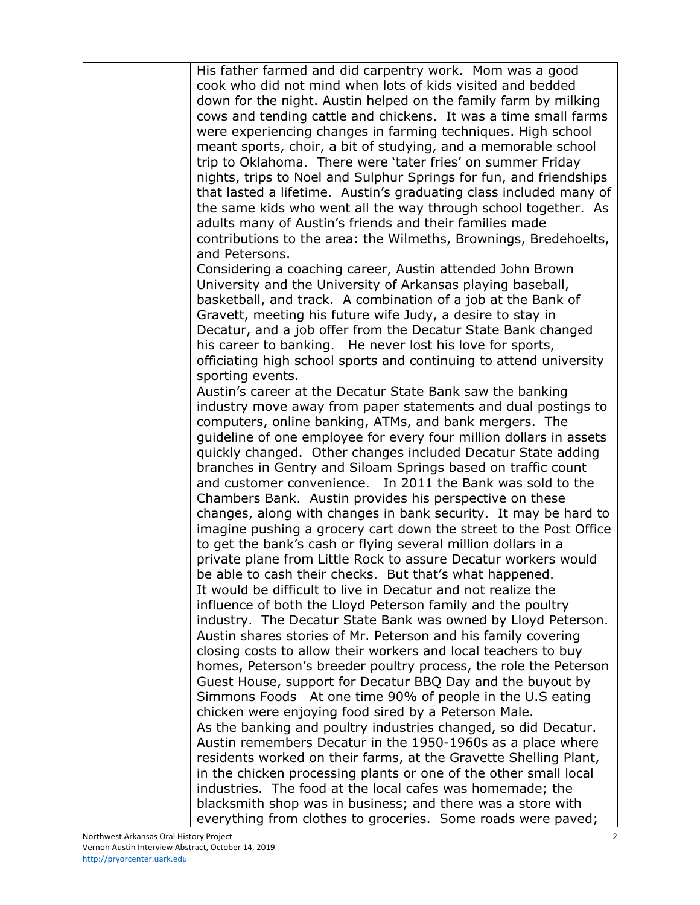| His father farmed and did carpentry work. Mom was a good           |
|--------------------------------------------------------------------|
| cook who did not mind when lots of kids visited and bedded         |
| down for the night. Austin helped on the family farm by milking    |
| cows and tending cattle and chickens. It was a time small farms    |
| were experiencing changes in farming techniques. High school       |
| meant sports, choir, a bit of studying, and a memorable school     |
|                                                                    |
| trip to Oklahoma. There were 'tater fries' on summer Friday        |
| nights, trips to Noel and Sulphur Springs for fun, and friendships |
| that lasted a lifetime. Austin's graduating class included many of |
| the same kids who went all the way through school together. As     |
| adults many of Austin's friends and their families made            |
| contributions to the area: the Wilmeths, Brownings, Bredehoelts,   |
| and Petersons.                                                     |
| Considering a coaching career, Austin attended John Brown          |
| University and the University of Arkansas playing baseball,        |
| basketball, and track. A combination of a job at the Bank of       |
| Gravett, meeting his future wife Judy, a desire to stay in         |
| Decatur, and a job offer from the Decatur State Bank changed       |
| his career to banking. He never lost his love for sports,          |
| officiating high school sports and continuing to attend university |
| sporting events.                                                   |
| Austin's career at the Decatur State Bank saw the banking          |
| industry move away from paper statements and dual postings to      |
| computers, online banking, ATMs, and bank mergers. The             |
| guideline of one employee for every four million dollars in assets |
|                                                                    |
| quickly changed. Other changes included Decatur State adding       |
| branches in Gentry and Siloam Springs based on traffic count       |
| and customer convenience. In 2011 the Bank was sold to the         |
| Chambers Bank. Austin provides his perspective on these            |
| changes, along with changes in bank security. It may be hard to    |
| imagine pushing a grocery cart down the street to the Post Office  |
| to get the bank's cash or flying several million dollars in a      |
| private plane from Little Rock to assure Decatur workers would     |
| be able to cash their checks. But that's what happened.            |
| It would be difficult to live in Decatur and not realize the       |
| influence of both the Lloyd Peterson family and the poultry        |
| industry. The Decatur State Bank was owned by Lloyd Peterson.      |
| Austin shares stories of Mr. Peterson and his family covering      |
| closing costs to allow their workers and local teachers to buy     |
| homes, Peterson's breeder poultry process, the role the Peterson   |
| Guest House, support for Decatur BBQ Day and the buyout by         |
| Simmons Foods At one time 90% of people in the U.S eating          |
| chicken were enjoying food sired by a Peterson Male.               |
| As the banking and poultry industries changed, so did Decatur.     |
| Austin remembers Decatur in the 1950-1960s as a place where        |
| residents worked on their farms, at the Gravette Shelling Plant,   |
| in the chicken processing plants or one of the other small local   |
| industries. The food at the local cafes was homemade; the          |
| blacksmith shop was in business; and there was a store with        |
| everything from clothes to groceries. Some roads were paved;       |
|                                                                    |